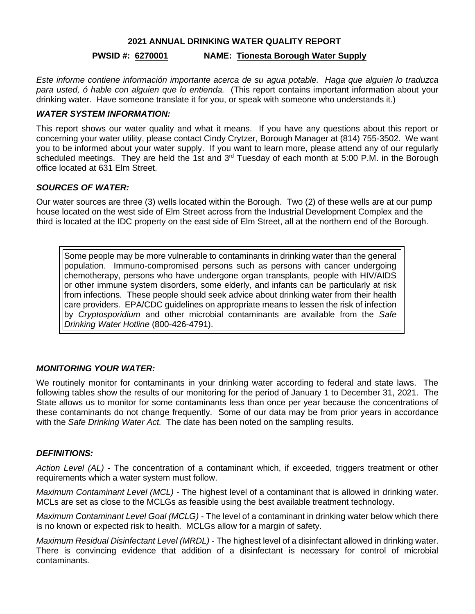#### **2021 ANNUAL DRINKING WATER QUALITY REPORT**

## **PWSID #: 6270001 NAME: Tionesta Borough Water Supply**

*Este informe contiene información importante acerca de su agua potable. Haga que alguien lo traduzca para usted, ó hable con alguien que lo entienda.* (This report contains important information about your drinking water. Have someone translate it for you, or speak with someone who understands it.)

## *WATER SYSTEM INFORMATION:*

This report shows our water quality and what it means. If you have any questions about this report or concerning your water utility, please contact Cindy Crytzer, Borough Manager at (814) 755-3502.We want you to be informed about your water supply. If you want to learn more, please attend any of our regularly scheduled meetings. They are held the 1st and 3<sup>rd</sup> Tuesday of each month at 5:00 P.M. in the Borough office located at 631 Elm Street.

## *SOURCES OF WATER:*

Our water sources are three (3) wells located within the Borough. Two (2) of these wells are at our pump house located on the west side of Elm Street across from the Industrial Development Complex and the third is located at the IDC property on the east side of Elm Street, all at the northern end of the Borough.

Some people may be more vulnerable to contaminants in drinking water than the general population. Immuno-compromised persons such as persons with cancer undergoing chemotherapy, persons who have undergone organ transplants, people with HIV/AIDS or other immune system disorders, some elderly, and infants can be particularly at risk from infections. These people should seek advice about drinking water from their health care providers. EPA/CDC guidelines on appropriate means to lessen the risk of infection by *Cryptosporidium* and other microbial contaminants are available from the *Safe Drinking Water Hotline* (800-426-4791).

# *MONITORING YOUR WATER:*

We routinely monitor for contaminants in your drinking water according to federal and state laws. The following tables show the results of our monitoring for the period of January 1 to December 31, 2021. The State allows us to monitor for some contaminants less than once per year because the concentrations of these contaminants do not change frequently. Some of our data may be from prior years in accordance with the *Safe Drinking Water Act.* The date has been noted on the sampling results.

## *DEFINITIONS:*

*Action Level (AL)* **-** The concentration of a contaminant which, if exceeded, triggers treatment or other requirements which a water system must follow.

*Maximum Contaminant Level (MCL)* - The highest level of a contaminant that is allowed in drinking water. MCLs are set as close to the MCLGs as feasible using the best available treatment technology.

*Maximum Contaminant Level Goal (MCLG)* - The level of a contaminant in drinking water below which there is no known or expected risk to health. MCLGs allow for a margin of safety.

*Maximum Residual Disinfectant Level (MRDL)* - The highest level of a disinfectant allowed in drinking water. There is convincing evidence that addition of a disinfectant is necessary for control of microbial contaminants.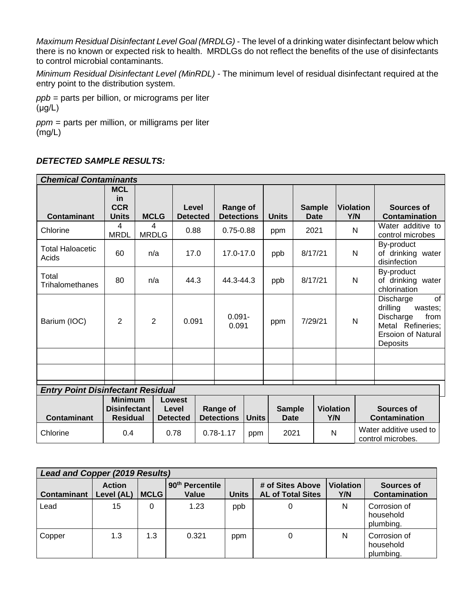*Maximum Residual Disinfectant Level Goal (MRDLG)* - The level of a drinking water disinfectant below which there is no known or expected risk to health. MRDLGs do not reflect the benefits of the use of disinfectants to control microbial contaminants.

*Minimum Residual Disinfectant Level (MinRDL) -* The minimum level of residual disinfectant required at the entry point to the distribution system.

*ppb* = parts per billion, or micrograms per liter (μg/L)

*ppm* = parts per million, or milligrams per liter (mg/L)

# *DETECTED SAMPLE RESULTS:*

| <b>Chemical Contaminants</b>             |                                                          |                   |                                    |                          |               |                                               |           |              |                              |                              |                         |  |                                                                                                                    |
|------------------------------------------|----------------------------------------------------------|-------------------|------------------------------------|--------------------------|---------------|-----------------------------------------------|-----------|--------------|------------------------------|------------------------------|-------------------------|--|--------------------------------------------------------------------------------------------------------------------|
| <b>Contaminant</b>                       | <b>MCL</b><br>in<br><b>CCR</b><br><b>Units</b>           | <b>MCLG</b>       |                                    | Level<br><b>Detected</b> |               | Range of<br><b>Detections</b>                 |           | <b>Units</b> |                              | <b>Sample</b><br><b>Date</b> | <b>Violation</b><br>Y/N |  | Sources of<br><b>Contamination</b>                                                                                 |
| Chlorine                                 | 4<br><b>MRDL</b>                                         | 4<br><b>MRDLG</b> |                                    | 0.88                     |               | $0.75 - 0.88$                                 |           | ppm          |                              | 2021                         | N                       |  | Water additive to<br>control microbes                                                                              |
| <b>Total Haloacetic</b><br>Acids         | 60                                                       | n/a               |                                    |                          | 17.0          |                                               | 17.0-17.0 |              | 8/17/21                      |                              | $\mathsf{N}$            |  | By-product<br>of drinking water<br>disinfection                                                                    |
| Total<br>Trihalomethanes                 | 80                                                       | n/a               | 44.3                               |                          |               | 44.3-44.3                                     |           | ppb          | 8/17/21                      |                              | $\mathsf{N}$            |  | By-product<br>of drinking water<br>chlorination                                                                    |
| Barium (IOC)                             | 2                                                        | $\overline{2}$    |                                    | 0.091                    |               | $0.091 -$<br>0.091                            |           | ppm          | 7/29/21                      |                              | N                       |  | of<br>Discharge<br>drilling<br>wastes;<br>Discharge<br>from<br>Metal Refineries;<br>Ersoion of Natural<br>Deposits |
|                                          |                                                          |                   |                                    |                          |               |                                               |           |              |                              |                              |                         |  |                                                                                                                    |
|                                          |                                                          |                   |                                    |                          |               |                                               |           |              |                              |                              |                         |  |                                                                                                                    |
| <b>Entry Point Disinfectant Residual</b> |                                                          |                   |                                    |                          |               |                                               |           |              |                              |                              |                         |  |                                                                                                                    |
| <b>Contaminant</b>                       | <b>Minimum</b><br><b>Disinfectant</b><br><b>Residual</b> |                   | Lowest<br>Level<br><b>Detected</b> |                          |               | Range of<br><b>Detections</b><br><b>Units</b> |           |              | <b>Sample</b><br><b>Date</b> |                              | <b>Violation</b><br>Y/N |  | Sources of<br>Contamination                                                                                        |
| Chlorine                                 | 0.4                                                      | 0.78              |                                    |                          | $0.78 - 1.17$ |                                               | ppm       |              | 2021                         |                              | N                       |  | Water additive used to<br>control microbes.                                                                        |

| <b>Lead and Copper (2019 Results)</b> |                             |             |                                      |              |                                              |                         |                                        |  |  |  |
|---------------------------------------|-----------------------------|-------------|--------------------------------------|--------------|----------------------------------------------|-------------------------|----------------------------------------|--|--|--|
| <b>Contaminant</b>                    | <b>Action</b><br>Level (AL) | <b>MCLG</b> | 90 <sup>th</sup> Percentile<br>Value | <b>Units</b> | # of Sites Above<br><b>AL of Total Sites</b> | <b>Violation</b><br>Y/N | Sources of<br><b>Contamination</b>     |  |  |  |
| Lead                                  | 15                          | 0           | 1.23                                 | ppb          |                                              | N                       | Corrosion of<br>household<br>plumbing. |  |  |  |
| Copper                                | 1.3                         | 1.3         | 0.321                                | ppm          | 0                                            | N                       | Corrosion of<br>household<br>plumbing. |  |  |  |